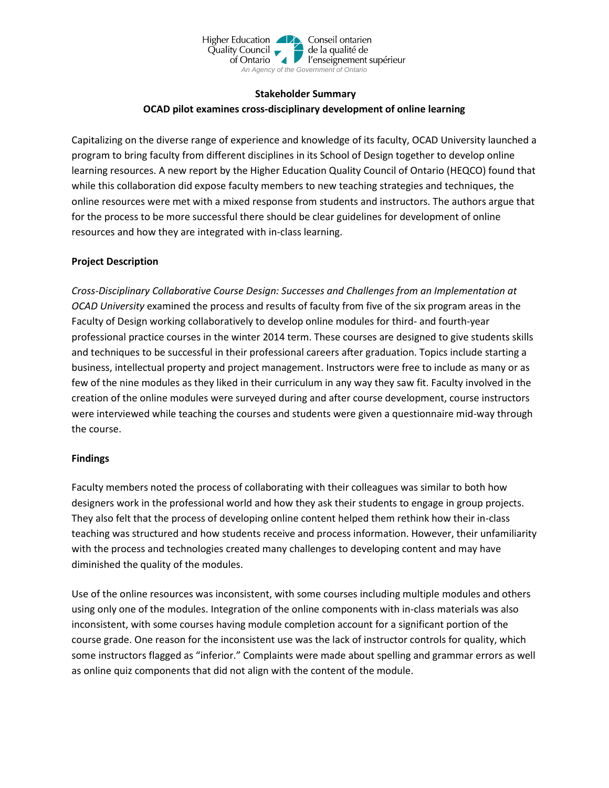

## **Stakeholder Summary OCAD pilot examines cross-disciplinary development of online learning**

Capitalizing on the diverse range of experience and knowledge of its faculty, OCAD University launched a program to bring faculty from different disciplines in its School of Design together to develop online learning resources. A new report by the Higher Education Quality Council of Ontario (HEQCO) found that while this collaboration did expose faculty members to new teaching strategies and techniques, the online resources were met with a mixed response from students and instructors. The authors argue that for the process to be more successful there should be clear guidelines for development of online resources and how they are integrated with in-class learning.

## **Project Description**

*Cross-Disciplinary Collaborative Course Design: Successes and Challenges from an Implementation at OCAD University* examined the process and results of faculty from five of the six program areas in the Faculty of Design working collaboratively to develop online modules for third- and fourth-year professional practice courses in the winter 2014 term. These courses are designed to give students skills and techniques to be successful in their professional careers after graduation. Topics include starting a business, intellectual property and project management. Instructors were free to include as many or as few of the nine modules as they liked in their curriculum in any way they saw fit. Faculty involved in the creation of the online modules were surveyed during and after course development, course instructors were interviewed while teaching the courses and students were given a questionnaire mid-way through the course.

## **Findings**

Faculty members noted the process of collaborating with their colleagues was similar to both how designers work in the professional world and how they ask their students to engage in group projects. They also felt that the process of developing online content helped them rethink how their in-class teaching was structured and how students receive and process information. However, their unfamiliarity with the process and technologies created many challenges to developing content and may have diminished the quality of the modules.

Use of the online resources was inconsistent, with some courses including multiple modules and others using only one of the modules. Integration of the online components with in-class materials was also inconsistent, with some courses having module completion account for a significant portion of the course grade. One reason for the inconsistent use was the lack of instructor controls for quality, which some instructors flagged as "inferior." Complaints were made about spelling and grammar errors as well as online quiz components that did not align with the content of the module.